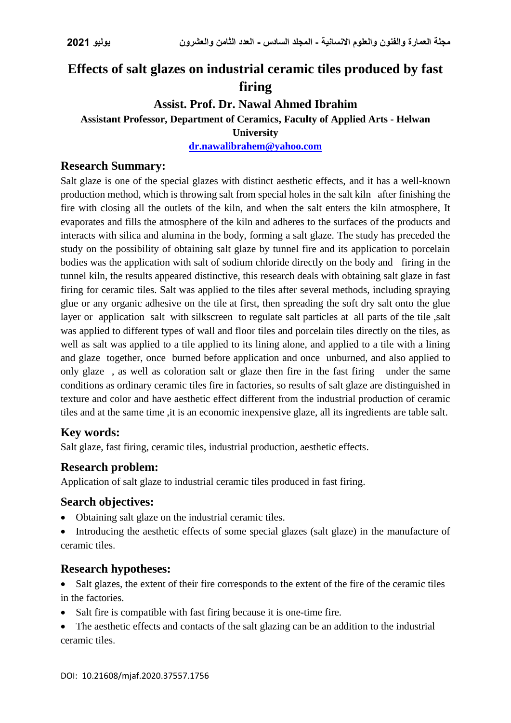# **Effects of salt glazes on industrial ceramic tiles produced by fast firing**

## **Assist. Prof. Dr. Nawal Ahmed Ibrahim**

#### **Assistant Professor, Department of Ceramics, Faculty of Applied Arts - Helwan**

**University**

**[dr.nawalibrahem@yahoo.com](mailto:dr.nawalibrahem@yahoo.com)**

#### **Research Summary:**

Salt glaze is one of the special glazes with distinct aesthetic effects, and it has a well-known production method, which is throwing salt from special holes in the salt kiln after finishing the fire with closing all the outlets of the kiln, and when the salt enters the kiln atmosphere, It evaporates and fills the atmosphere of the kiln and adheres to the surfaces of the products and interacts with silica and alumina in the body, forming a salt glaze. The study has preceded the study on the possibility of obtaining salt glaze by tunnel fire and its application to porcelain bodies was the application with salt of sodium chloride directly on the body and firing in the tunnel kiln, the results appeared distinctive, this research deals with obtaining salt glaze in fast firing for ceramic tiles. Salt was applied to the tiles after several methods, including spraying glue or any organic adhesive on the tile at first, then spreading the soft dry salt onto the glue layer or application salt with silkscreen to regulate salt particles at all parts of the tile ,salt was applied to different types of wall and floor tiles and porcelain tiles directly on the tiles, as well as salt was applied to a tile applied to its lining alone, and applied to a tile with a lining and glaze together, once burned before application and once unburned, and also applied to only glaze , as well as coloration salt or glaze then fire in the fast firing under the same conditions as ordinary ceramic tiles fire in factories, so results of salt glaze are distinguished in texture and color and have aesthetic effect different from the industrial production of ceramic tiles and at the same time ,it is an economic inexpensive glaze, all its ingredients are table salt.

### **Key words:**

Salt glaze, fast firing, ceramic tiles, industrial production, aesthetic effects.

### **Research problem:**

Application of salt glaze to industrial ceramic tiles produced in fast firing.

### **Search objectives:**

- Obtaining salt glaze on the industrial ceramic tiles.
- Introducing the aesthetic effects of some special glazes (salt glaze) in the manufacture of ceramic tiles.

### **Research hypotheses:**

- Salt glazes, the extent of their fire corresponds to the extent of the fire of the ceramic tiles in the factories.
- Salt fire is compatible with fast firing because it is one-time fire.
- The aesthetic effects and contacts of the salt glazing can be an addition to the industrial ceramic tiles.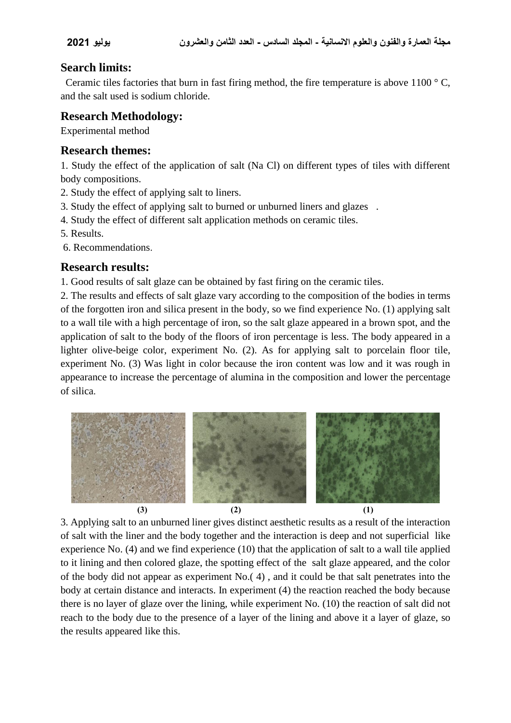### **Search limits:**

Ceramic tiles factories that burn in fast firing method, the fire temperature is above 1100  $\degree$  C. and the salt used is sodium chloride.

## **Research Methodology:**

Experimental method

#### **Research themes:**

1. Study the effect of the application of salt (Na Cl) on different types of tiles with different body compositions.

- 2. Study the effect of applying salt to liners.
- 3. Study the effect of applying salt to burned or unburned liners and glazes .
- 4. Study the effect of different salt application methods on ceramic tiles.
- 5. Results.
- 6. Recommendations.

## **Research results:**

1. Good results of salt glaze can be obtained by fast firing on the ceramic tiles.

2. The results and effects of salt glaze vary according to the composition of the bodies in terms of the forgotten iron and silica present in the body, so we find experience No. (1) applying salt to a wall tile with a high percentage of iron, so the salt glaze appeared in a brown spot, and the application of salt to the body of the floors of iron percentage is less. The body appeared in a lighter olive-beige color, experiment No. (2). As for applying salt to porcelain floor tile, experiment No. (3) Was light in color because the iron content was low and it was rough in appearance to increase the percentage of alumina in the composition and lower the percentage of silica.



3. Applying salt to an unburned liner gives distinct aesthetic results as a result of the interaction of salt with the liner and the body together and the interaction is deep and not superficial like experience No. (4) and we find experience (10) that the application of salt to a wall tile applied to it lining and then colored glaze, the spotting effect of the salt glaze appeared, and the color of the body did not appear as experiment No.( 4) , and it could be that salt penetrates into the body at certain distance and interacts. In experiment (4) the reaction reached the body because there is no layer of glaze over the lining, while experiment No. (10) the reaction of salt did not reach to the body due to the presence of a layer of the lining and above it a layer of glaze, so the results appeared like this.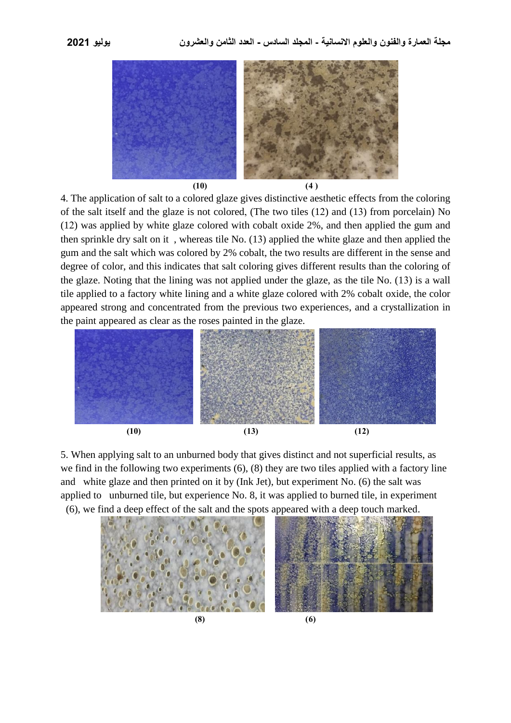

4. The application of salt to a colored glaze gives distinctive aesthetic effects from the coloring of the salt itself and the glaze is not colored, (The two tiles (12) and (13) from porcelain) No (12) was applied by white glaze colored with cobalt oxide 2%, and then applied the gum and then sprinkle dry salt on it , whereas tile No. (13) applied the white glaze and then applied the gum and the salt which was colored by 2% cobalt, the two results are different in the sense and degree of color, and this indicates that salt coloring gives different results than the coloring of the glaze. Noting that the lining was not applied under the glaze, as the tile No. (13) is a wall tile applied to a factory white lining and a white glaze colored with 2% cobalt oxide, the color appeared strong and concentrated from the previous two experiences, and a crystallization in the paint appeared as clear as the roses painted in the glaze.



5. When applying salt to an unburned body that gives distinct and not superficial results, as we find in the following two experiments (6), (8) they are two tiles applied with a factory line and white glaze and then printed on it by (Ink Jet), but experiment No. (6) the salt was applied to unburned tile, but experience No. 8, it was applied to burned tile, in experiment (6), we find a deep effect of the salt and the spots appeared with a deep touch marked.

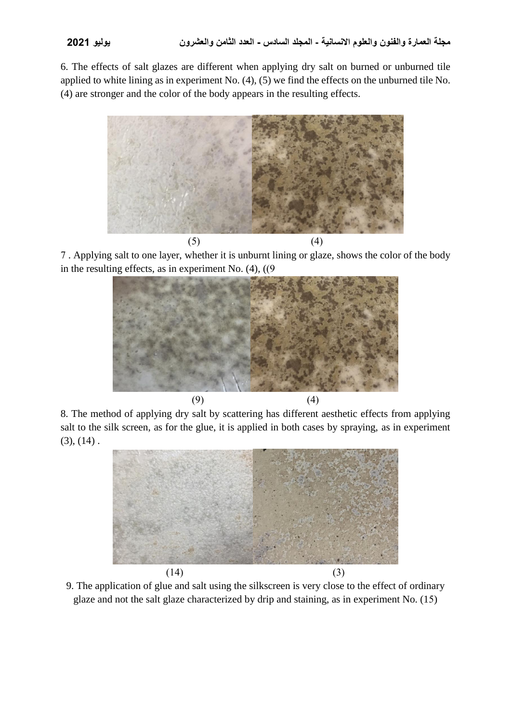6. The effects of salt glazes are different when applying dry salt on burned or unburned tile applied to white lining as in experiment No. (4), (5) we find the effects on the unburned tile No. (4) are stronger and the color of the body appears in the resulting effects.



7 . Applying salt to one layer, whether it is unburnt lining or glaze, shows the color of the body in the resulting effects, as in experiment No.  $(4)$ ,  $(9)$ 



8. The method of applying dry salt by scattering has different aesthetic effects from applying salt to the silk screen, as for the glue, it is applied in both cases by spraying, as in experiment  $(3), (14)$ .



9. The application of glue and salt using the silkscreen is very close to the effect of ordinary glaze and not the salt glaze characterized by drip and staining, as in experiment No. (15)